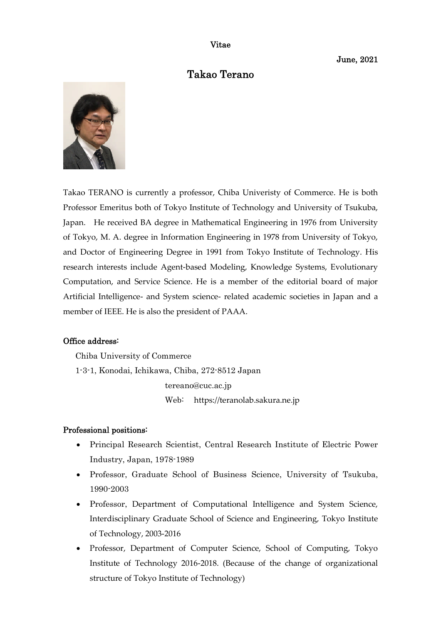Vitae

June, 2021

# Takao Terano



Takao TERANO is currently a professor, Chiba Univeristy of Commerce. He is both Professor Emeritus both of Tokyo Institute of Technology and University of Tsukuba, Japan. He received BA degree in Mathematical Engineering in 1976 from University of Tokyo, M. A. degree in Information Engineering in 1978 from University of Tokyo, and Doctor of Engineering Degree in 1991 from Tokyo Institute of Technology. His research interests include Agent-based Modeling, Knowledge Systems, Evolutionary Computation, and Service Science. He is a member of the editorial board of major Artificial Intelligence- and System science- related academic societies in Japan and a member of IEEE. He is also the president of PAAA.

# Office address:

Chiba University of Commerce 1-3-1, Konodai, Ichikawa, Chiba, 272-8512 Japan tereano@cuc.ac.jp Web: https://teranolab.sakura.ne.jp

#### Professional positions:

- Principal Research Scientist, Central Research Institute of Electric Power Industry, Japan, 1978-1989
- Professor, Graduate School of Business Science, University of Tsukuba, 1990-2003
- Professor, Department of Computational Intelligence and System Science, Interdisciplinary Graduate School of Science and Engineering, Tokyo Institute of Technology, 2003-2016
- Professor, Department of Computer Science, School of Computing, Tokyo Institute of Technology 2016-2018. (Because of the change of organizational structure of Tokyo Institute of Technology)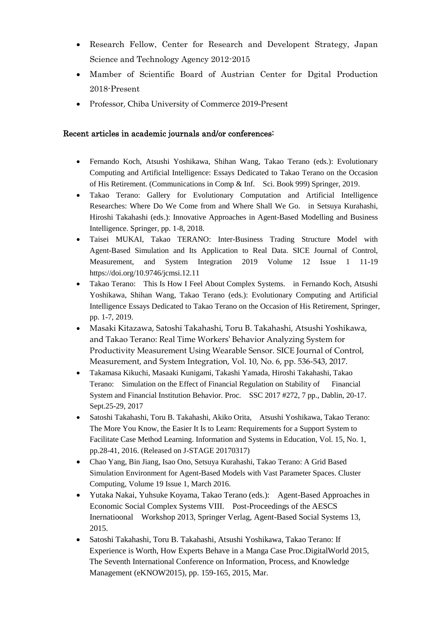- Research Fellow, Center for Research and Developent Strategy, Japan Science and Technology Agency 2012-2015
- Mamber of Scientific Board of Austrian Center for Dgital Production 2018-Present
- Professor, Chiba University of Commerce 2019-Present

## Recent articles in academic journals and/or conferences:

- Fernando Koch, Atsushi Yoshikawa, Shihan Wang, Takao Terano (eds.): Evolutionary Computing and Artificial Intelligence: Essays Dedicated to Takao Terano on the Occasion of His Retirement. (Communications in Comp & Inf. Sci. Book 999) Springer, 2019.
- Takao Terano: Gallery for Evolutionary Computation and Artificial Intelligence Researches: Where Do We Come from and Where Shall We Go. in Setsuya Kurahashi, Hiroshi Takahashi (eds.): Innovative Approaches in Agent-Based Modelling and Business Intelligence. Springer, pp. 1-8, 2018.
- Taisei MUKAI, Takao TERANO: Inter-Business Trading Structure Model with Agent-Based Simulation and Its Application to Real Data. SICE Journal of Control, Measurement, and System Integration 2019 Volume 12 Issue 1 11-19 https://doi.org/10.9746/jcmsi.12.11
- Takao Terano: This Is How I Feel About Complex Systems. in Fernando Koch, Atsushi Yoshikawa, Shihan Wang, Takao Terano (eds.): Evolutionary Computing and Artificial Intelligence Essays Dedicated to Takao Terano on the Occasion of His Retirement, Springer, pp. 1-7, 2019.
- Masaki Kitazawa, Satoshi Takahashi, Toru B. Takahashi, Atsushi Yoshikawa, and Takao Terano: Real Time Workers' Behavior Analyzing System for Productivity Measurement Using Wearable Sensor. SICE Journal of Control, Measurement, and System Integration, Vol. 10, No. 6, pp. 536-543, 2017.
- Takamasa Kikuchi, Masaaki Kunigami, Takashi Yamada, Hiroshi Takahashi, Takao Terano: Simulation on the Effect of Financial Regulation on Stability of Financial System and Financial Institution Behavior. Proc. SSC 2017 #272, 7 pp., Dablin, 20-17. Sept.25-29, 2017
- Satoshi Takahashi, Toru B. Takahashi, Akiko Orita, Atsushi Yoshikawa, Takao Terano: The More You Know, the Easier It Is to Learn: Requirements for a Support System to Facilitate Case Method Learning. Information and Systems in Education, Vol. 15, No. 1, pp.28-41, 2016. (Released on J-STAGE 20170317)
- Chao Yang, Bin Jiang, Isao Ono, Setsuya Kurahashi, Takao Terano: A Grid Based Simulation Environment for Agent-Based Models with Vast Parameter Spaces. Cluster Computing, Volume 19 Issue 1, March 2016.
- Yutaka Nakai, Yuhsuke Koyama, Takao Terano (eds.): Agent-Based Approaches in Economic Social Complex Systems VIII. Post-Proceedings of the AESCS Inernatioonal Workshop 2013, Springer Verlag, Agent-Based Social Systems 13, 2015.
- Satoshi Takahashi, Toru B. Takahashi, Atsushi Yoshikawa, Takao Terano: If Experience is Worth, How Experts Behave in a Manga Case Proc.DigitalWorld 2015, The Seventh International Conference on Information, Process, and Knowledge Management (eKNOW2015), pp. 159-165, 2015, Mar.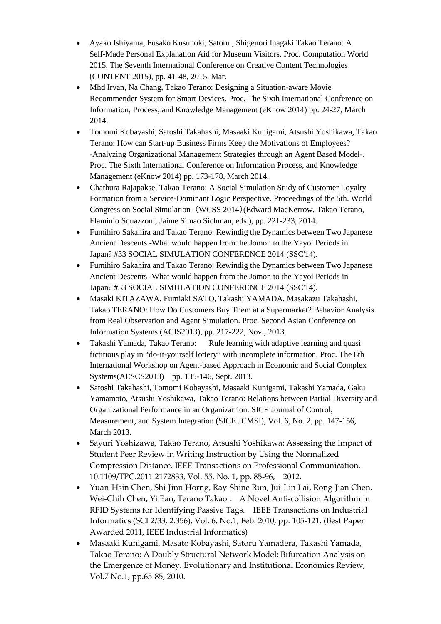- Ayako Ishiyama, Fusako Kusunoki, Satoru , Shigenori Inagaki Takao Terano: A Self-Made Personal Explanation Aid for Museum Visitors. Proc. Computation World 2015, The Seventh International Conference on Creative Content Technologies (CONTENT 2015), pp. 41-48, 2015, Mar.
- Mhd Irvan, Na Chang, Takao Terano: Designing a Situation-aware Movie Recommender System for Smart Devices. Proc. The Sixth International Conference on Information, Process, and Knowledge Management (eKnow 2014) pp. 24-27, March 2014.
- Tomomi Kobayashi, Satoshi Takahashi, Masaaki Kunigami, Atsushi Yoshikawa, Takao Terano: How can Start-up Business Firms Keep the Motivations of Employees? -Analyzing Organizational Management Strategies through an Agent Based Model-. Proc. The Sixth International Conference on Information Process, and Knowledge Management (eKnow 2014) pp. 173-178, March 2014.
- Chathura Rajapakse, Takao Terano: A Social Simulation Study of Customer Loyalty Formation from a Service-Dominant Logic Perspective. Proceedings of the 5th. World Congress on Social Simulation (WCSS 2014)(Edward MacKerrow, Takao Terano, Flaminio Squazzoni, Jaime Simao Sichman, eds.), pp. 221-233, 2014.
- Fumihiro Sakahira and Takao Terano: Rewindig the Dynamics between Two Japanese Ancient Descents -What would happen from the Jomon to the Yayoi Periods in Japan? #33 SOCIAL SIMULATION CONFERENCE 2014 (SSC'14).
- Fumihiro Sakahira and Takao Terano: Rewindig the Dynamics between Two Japanese Ancient Descents -What would happen from the Jomon to the Yayoi Periods in Japan? #33 SOCIAL SIMULATION CONFERENCE 2014 (SSC'14).
- Masaki KITAZAWA, Fumiaki SATO, Takashi YAMADA, Masakazu Takahashi, Takao TERANO: How Do Customers Buy Them at a Supermarket? Behavior Analysis from Real Observation and Agent Simulation. Proc. Second Asian Conference on Information Systems (ACIS2013), pp. 217-222, Nov., 2013.
- Takashi Yamada, Takao Terano: Rule learning with adaptive learning and quasi fictitious play in "do-it-yourself lottery" with incomplete information. Proc. The 8th International Workshop on Agent-based Approach in Economic and Social Complex Systems(AESCS2013) pp. 135-146, Sept. 2013.
- Satoshi Takahashi, Tomomi Kobayashi, Masaaki Kunigami, Takashi Yamada, Gaku Yamamoto, Atsushi Yoshikawa, Takao Terano: Relations between Partial Diversity and Organizational Performance in an Organizatrion. SICE Journal of Control, Measurement, and System Integration (SICE JCMSI), Vol. 6, No. 2, pp. 147-156, March 2013.
- Sayuri Yoshizawa, Takao Terano, Atsushi Yoshikawa: Assessing the Impact of Student Peer Review in Writing Instruction by Using the Normalized Compression Distance. IEEE Transactions on Professional Communication, 10.1109/TPC.2011.2172833, Vol. 55, No. 1, pp. 85-96, 2012.
- Yuan-Hsin Chen, Shi-Jinn Horng, Ray-Shine Run, Jui-Lin Lai, Rong-Jian Chen, Wei-Chih Chen, Yi Pan, Terano Takao: A Novel Anti-collision Algorithm in RFID Systems for Identifying Passive Tags. IEEE Transactions on Industrial Informatics (SCI 2/33, 2.356), Vol. 6, No.1, Feb. 2010, pp. 105-121. (Best Paper Awarded 2011, IEEE Industrial Informatics)
- Masaaki Kunigami, Masato Kobayashi, Satoru Yamadera, Takashi Yamada, Takao Terano: A Doubly Structural Network Model: Bifurcation Analysis on the Emergence of Money. Evolutionary and Institutional Economics Review, Vol.7 No.1, pp.65-85, 2010.